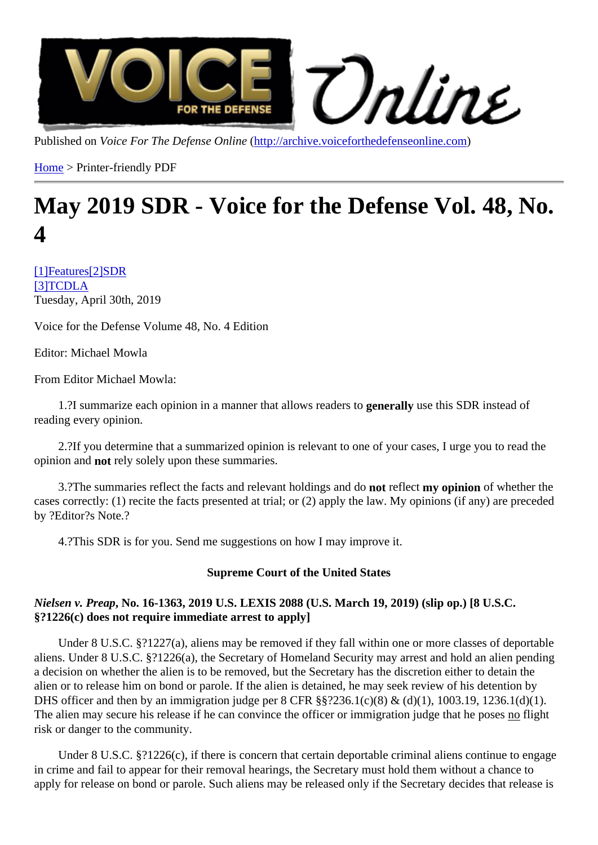Published on/oice For The Defense Onlinettp://archive.voiceforthedefenseonline.com

Home > Printer-friendly PDF

# [Ma](http://archive.voiceforthedefenseonline.com/)y 2019 SDR - Voi[ce for the Defense V](http://archive.voiceforthedefenseonline.com)ol. 48, No.  $\boldsymbol{\varDelta}$

[1]Feature[2]SDR [3]TCDLA Tuesday, April 30th, 2019

[Voice fo](http://archive.voiceforthedefenseonline.com/channel/1/stories)r t[he D](http://archive.voiceforthedefenseonline.com/channel/2/stories)efense Volume 48, No. 4 Edition

Editor: Michael Mowla

From Editor Michael Mowla:

1.?I summarize each opinion in a manner that allows readers to guive this SDR instead of reading every opinion.

 2.?If you determine that a summarized opinion is relevant to one of your cases, I urge you to read the opinion and not rely solely upon these summaries.

3.? The summaries reflect the facts and relevant holdings and redilect my opinion of whether the cases correctly: (1) recite the facts presented at trial; or (2) apply the law. My opinions (if any) are preceded by ?Editor?s Note.?

4.?This SDR is for you. Send me suggestions on how I may improve it.

Supreme Court of the United States

Nielsen v. PreapNo. 16-1363, 2019 U.S. LEXIS 2088 (U.S. March 19, 2019) (slip op.) [8 U.S.C. §?1226(c) does not require immediate arrest to apply]

 Under 8 U.S.C. §?1227(a), aliens may be removed if they fall within one or more classes of deportable aliens. Under 8 U.S.C. §?1226(a), the Secretary of Homeland Security may arrest and hold an alien pending a decision on whether the alien is to be removed, but the Secretary has the discretion either to detain the alien or to release him on bond or parole. If the alien is detained, he may seek review of his detention by DHS officer and then by an immigration judge per 8 CFR §§?236.1(c)(8) & (d)(1), 1003.19, 1236.1(d)(1). The alien may secure his release if he can convince the officer or immigration judge that me flights risk or danger to the community.

 Under 8 U.S.C. §?1226(c), if there is concern that certain deportable criminal aliens continue to engage in crime and fail to appear for their removal hearings, the Secretary must hold them without a chance to apply for release on bond or parole. Such aliens may be released only if the Secretary decides that release is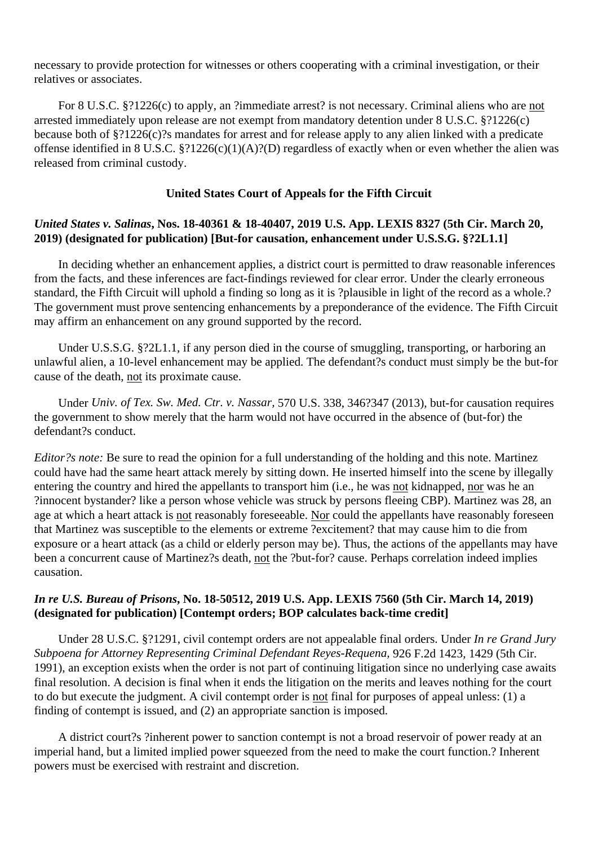necessary to provide protection for witnesses or others cooperating with a criminal investigation, or their relatives or associates.

 For 8 U.S.C. §?1226(c) to apply, an ?immediate arrest? is not necessary. Criminal aliens who are not arrested immediately upon release are not exempt from mandatory detention under 8 U.S.C. §?1226(c) because both of §?1226(c)?s mandates for arrest and for release apply to any alien linked with a predicate offense identified in 8 U.S.C. §?1226(c)(1)(A)?(D) regardless of exactly when or even whether the alien was released from criminal custody.

#### **United States Court of Appeals for the Fifth Circuit**

#### *United States v. Salinas***, Nos. 18-40361 & 18-40407, 2019 U.S. App. LEXIS 8327 (5th Cir. March 20, 2019) (designated for publication) [But-for causation, enhancement under U.S.S.G. §?2L1.1]**

 In deciding whether an enhancement applies, a district court is permitted to draw reasonable inferences from the facts, and these inferences are fact-findings reviewed for clear error. Under the clearly erroneous standard, the Fifth Circuit will uphold a finding so long as it is ?plausible in light of the record as a whole.? The government must prove sentencing enhancements by a preponderance of the evidence. The Fifth Circuit may affirm an enhancement on any ground supported by the record.

Under U.S.S.G. §?2L1.1, if any person died in the course of smuggling, transporting, or harboring an unlawful alien, a 10-level enhancement may be applied. The defendant?s conduct must simply be the but-for cause of the death, not its proximate cause.

 Under *Univ. of Tex. Sw. Med. Ctr. v. Nassar,* 570 U.S. 338, 346?347 (2013), but-for causation requires the government to show merely that the harm would not have occurred in the absence of (but-for) the defendant?s conduct.

*Editor?s note:* Be sure to read the opinion for a full understanding of the holding and this note. Martinez could have had the same heart attack merely by sitting down. He inserted himself into the scene by illegally entering the country and hired the appellants to transport him (i.e., he was not kidnapped, nor was he an ?innocent bystander? like a person whose vehicle was struck by persons fleeing CBP). Martinez was 28, an age at which a heart attack is not reasonably foreseeable. Nor could the appellants have reasonably foreseen that Martinez was susceptible to the elements or extreme ?excitement? that may cause him to die from exposure or a heart attack (as a child or elderly person may be). Thus, the actions of the appellants may have been a concurrent cause of Martinez?s death, not the ?but-for? cause. Perhaps correlation indeed implies causation.

### *In re U.S. Bureau of Prisons***, No. 18-50512, 2019 U.S. App. LEXIS 7560 (5th Cir. March 14, 2019) (designated for publication) [Contempt orders; BOP calculates back-time credit]**

 Under 28 U.S.C. §?1291, civil contempt orders are not appealable final orders. Under *In re Grand Jury Subpoena for Attorney Representing Criminal Defendant Reyes-Requena,* 926 F.2d 1423, 1429 (5th Cir. 1991), an exception exists when the order is not part of continuing litigation since no underlying case awaits final resolution. A decision is final when it ends the litigation on the merits and leaves nothing for the court to do but execute the judgment. A civil contempt order is not final for purposes of appeal unless: (1) a finding of contempt is issued, and (2) an appropriate sanction is imposed.

 A district court?s ?inherent power to sanction contempt is not a broad reservoir of power ready at an imperial hand, but a limited implied power squeezed from the need to make the court function.? Inherent powers must be exercised with restraint and discretion.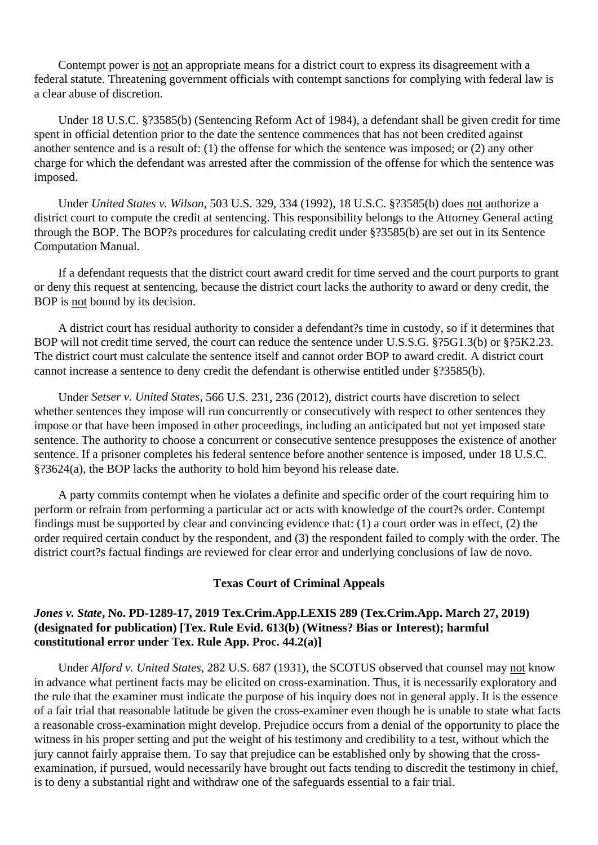Contempt power is not an appropriate means for a district court to express its disagreement with a federal statute. Threatening government officials with contempt sanctions for complying with federal law is a clear abuse of discretion.

 Under 18 U.S.C. §?3585(b) (Sentencing Reform Act of 1984), a defendant shall be given credit for time spent in official detention prior to the date the sentence commences that has not been credited against another sentence and is a result of: (1) the offense for which the sentence was imposed; or (2) any other charge for which the defendant was arrested after the commission of the offense for which the sentence was imposed.

 Under *United States v. Wilson,* 503 U.S. 329, 334 (1992), 18 U.S.C. §?3585(b) does not authorize a district court to compute the credit at sentencing. This responsibility belongs to the Attorney General acting through the BOP. The BOP?s procedures for calculating credit under §?3585(b) are set out in its Sentence Computation Manual.

 If a defendant requests that the district court award credit for time served and the court purports to grant or deny this request at sentencing, because the district court lacks the authority to award or deny credit, the BOP is not bound by its decision.

 A district court has residual authority to consider a defendant?s time in custody, so if it determines that BOP will not credit time served, the court can reduce the sentence under U.S.S.G. §?5G1.3(b) or §?5K2.23. The district court must calculate the sentence itself and cannot order BOP to award credit. A district court cannot increase a sentence to deny credit the defendant is otherwise entitled under §?3585(b).

 Under *Setser v. United States,* 566 U.S. 231, 236 (2012), district courts have discretion to select whether sentences they impose will run concurrently or consecutively with respect to other sentences they impose or that have been imposed in other proceedings, including an anticipated but not yet imposed state sentence. The authority to choose a concurrent or consecutive sentence presupposes the existence of another sentence. If a prisoner completes his federal sentence before another sentence is imposed, under 18 U.S.C. §?3624(a), the BOP lacks the authority to hold him beyond his release date.

 A party commits contempt when he violates a definite and specific order of the court requiring him to perform or refrain from performing a particular act or acts with knowledge of the court?s order. Contempt findings must be supported by clear and convincing evidence that: (1) a court order was in effect, (2) the order required certain conduct by the respondent, and (3) the respondent failed to comply with the order. The district court?s factual findings are reviewed for clear error and underlying conclusions of law de novo.

#### **Texas Court of Criminal Appeals**

### *Jones v. State***, No. PD-1289-17, 2019 Tex.Crim.App.LEXIS 289 (Tex.Crim.App. March 27, 2019) (designated for publication) [Tex. Rule Evid. 613(b) (Witness? Bias or Interest); harmful constitutional error under Tex. Rule App. Proc. 44.2(a)]**

 Under *Alford v. United States,* 282 U.S. 687 (1931), the SCOTUS observed that counsel may not know in advance what pertinent facts may be elicited on cross-examination. Thus, it is necessarily exploratory and the rule that the examiner must indicate the purpose of his inquiry does not in general apply. It is the essence of a fair trial that reasonable latitude be given the cross-examiner even though he is unable to state what facts a reasonable cross-examination might develop. Prejudice occurs from a denial of the opportunity to place the witness in his proper setting and put the weight of his testimony and credibility to a test, without which the jury cannot fairly appraise them. To say that prejudice can be established only by showing that the crossexamination, if pursued, would necessarily have brought out facts tending to discredit the testimony in chief, is to deny a substantial right and withdraw one of the safeguards essential to a fair trial.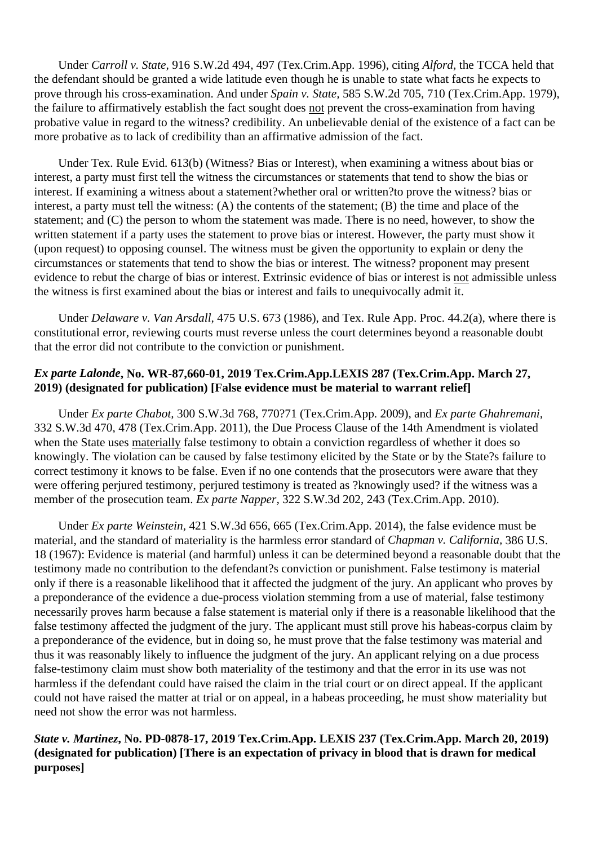Under *Carroll v. State,* 916 S.W.2d 494, 497 (Tex.Crim.App. 1996), citing *Alford,* the TCCA held that the defendant should be granted a wide latitude even though he is unable to state what facts he expects to prove through his cross-examination. And under *Spain v. State,* 585 S.W.2d 705, 710 (Tex.Crim.App. 1979), the failure to affirmatively establish the fact sought does not prevent the cross-examination from having probative value in regard to the witness? credibility. An unbelievable denial of the existence of a fact can be more probative as to lack of credibility than an affirmative admission of the fact.

 Under Tex. Rule Evid. 613(b) (Witness? Bias or Interest), when examining a witness about bias or interest, a party must first tell the witness the circumstances or statements that tend to show the bias or interest. If examining a witness about a statement?whether oral or written?to prove the witness? bias or interest, a party must tell the witness: (A) the contents of the statement; (B) the time and place of the statement; and (C) the person to whom the statement was made. There is no need, however, to show the written statement if a party uses the statement to prove bias or interest. However, the party must show it (upon request) to opposing counsel. The witness must be given the opportunity to explain or deny the circumstances or statements that tend to show the bias or interest. The witness? proponent may present evidence to rebut the charge of bias or interest. Extrinsic evidence of bias or interest is not admissible unless the witness is first examined about the bias or interest and fails to unequivocally admit it.

 Under *Delaware v. Van Arsdall,* 475 U.S. 673 (1986), and Tex. Rule App. Proc. 44.2(a), where there is constitutional error, reviewing courts must reverse unless the court determines beyond a reasonable doubt that the error did not contribute to the conviction or punishment.

# *Ex parte Lalonde***, No. WR-87,660-01, 2019 Tex.Crim.App.LEXIS 287 (Tex.Crim.App. March 27, 2019) (designated for publication) [False evidence must be material to warrant relief]**

 Under *Ex parte Chabot,* 300 S.W.3d 768, 770?71 (Tex.Crim.App. 2009), and *Ex parte Ghahremani,*  332 S.W.3d 470, 478 (Tex.Crim.App. 2011), the Due Process Clause of the 14th Amendment is violated when the State uses materially false testimony to obtain a conviction regardless of whether it does so knowingly. The violation can be caused by false testimony elicited by the State or by the State?s failure to correct testimony it knows to be false. Even if no one contends that the prosecutors were aware that they were offering perjured testimony, perjured testimony is treated as ?knowingly used? if the witness was a member of the prosecution team. *Ex parte Napper,* 322 S.W.3d 202, 243 (Tex.Crim.App. 2010).

 Under *Ex parte Weinstein,* 421 S.W.3d 656, 665 (Tex.Crim.App. 2014), the false evidence must be material, and the standard of materiality is the harmless error standard of *Chapman v. California,* 386 U.S. 18 (1967): Evidence is material (and harmful) unless it can be determined beyond a reasonable doubt that the testimony made no contribution to the defendant?s conviction or punishment. False testimony is material only if there is a reasonable likelihood that it affected the judgment of the jury. An applicant who proves by a preponderance of the evidence a due-process violation stemming from a use of material, false testimony necessarily proves harm because a false statement is material only if there is a reasonable likelihood that the false testimony affected the judgment of the jury. The applicant must still prove his habeas-corpus claim by a preponderance of the evidence, but in doing so, he must prove that the false testimony was material and thus it was reasonably likely to influence the judgment of the jury. An applicant relying on a due process false-testimony claim must show both materiality of the testimony and that the error in its use was not harmless if the defendant could have raised the claim in the trial court or on direct appeal. If the applicant could not have raised the matter at trial or on appeal, in a habeas proceeding, he must show materiality but need not show the error was not harmless.

# *State v. Martinez***, No. PD-0878-17, 2019 Tex.Crim.App. LEXIS 237 (Tex.Crim.App. March 20, 2019) (designated for publication) [There is an expectation of privacy in blood that is drawn for medical purposes]**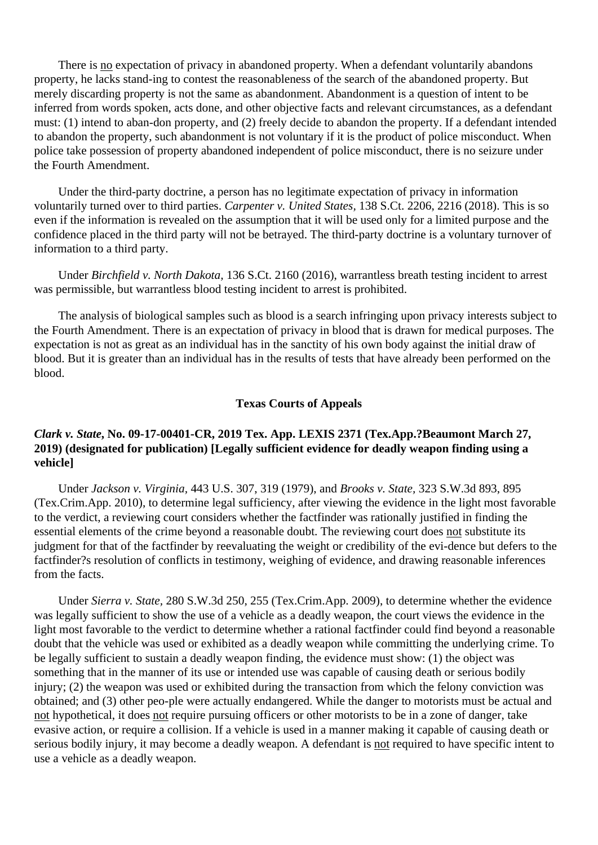There is no expectation of privacy in abandoned property. When a defendant voluntarily abandons property, he lacks stand-ing to contest the reasonableness of the search of the abandoned property. But merely discarding property is not the same as abandonment. Abandonment is a question of intent to be inferred from words spoken, acts done, and other objective facts and relevant circumstances, as a defendant must: (1) intend to aban-don property, and (2) freely decide to abandon the property. If a defendant intended to abandon the property, such abandonment is not voluntary if it is the product of police misconduct. When police take possession of property abandoned independent of police misconduct, there is no seizure under the Fourth Amendment.

 Under the third-party doctrine, a person has no legitimate expectation of privacy in information voluntarily turned over to third parties. *Carpenter v. United States,* 138 S.Ct. 2206, 2216 (2018). This is so even if the information is revealed on the assumption that it will be used only for a limited purpose and the confidence placed in the third party will not be betrayed. The third-party doctrine is a voluntary turnover of information to a third party.

 Under *Birchfield v. North Dakota,* 136 S.Ct. 2160 (2016), warrantless breath testing incident to arrest was permissible, but warrantless blood testing incident to arrest is prohibited.

 The analysis of biological samples such as blood is a search infringing upon privacy interests subject to the Fourth Amendment. There is an expectation of privacy in blood that is drawn for medical purposes. The expectation is not as great as an individual has in the sanctity of his own body against the initial draw of blood. But it is greater than an individual has in the results of tests that have already been performed on the blood.

#### **Texas Courts of Appeals**

# *Clark v. State***, No. 09-17-00401-CR, 2019 Tex. App. LEXIS 2371 (Tex.App.?Beaumont March 27, 2019) (designated for publication) [Legally sufficient evidence for deadly weapon finding using a vehicle]**

 Under *Jackson v. Virginia,* 443 U.S. 307, 319 (1979), and *Brooks v. State,* 323 S.W.3d 893, 895 (Tex.Crim.App. 2010), to determine legal sufficiency, after viewing the evidence in the light most favorable to the verdict, a reviewing court considers whether the factfinder was rationally justified in finding the essential elements of the crime beyond a reasonable doubt. The reviewing court does not substitute its judgment for that of the factfinder by reevaluating the weight or credibility of the evi-dence but defers to the factfinder?s resolution of conflicts in testimony, weighing of evidence, and drawing reasonable inferences from the facts.

 Under *Sierra v. State,* 280 S.W.3d 250, 255 (Tex.Crim.App. 2009), to determine whether the evidence was legally sufficient to show the use of a vehicle as a deadly weapon, the court views the evidence in the light most favorable to the verdict to determine whether a rational factfinder could find beyond a reasonable doubt that the vehicle was used or exhibited as a deadly weapon while committing the underlying crime. To be legally sufficient to sustain a deadly weapon finding, the evidence must show: (1) the object was something that in the manner of its use or intended use was capable of causing death or serious bodily injury; (2) the weapon was used or exhibited during the transaction from which the felony conviction was obtained; and (3) other peo-ple were actually endangered. While the danger to motorists must be actual and not hypothetical, it does not require pursuing officers or other motorists to be in a zone of danger, take evasive action, or require a collision. If a vehicle is used in a manner making it capable of causing death or serious bodily injury, it may become a deadly weapon. A defendant is not required to have specific intent to use a vehicle as a deadly weapon.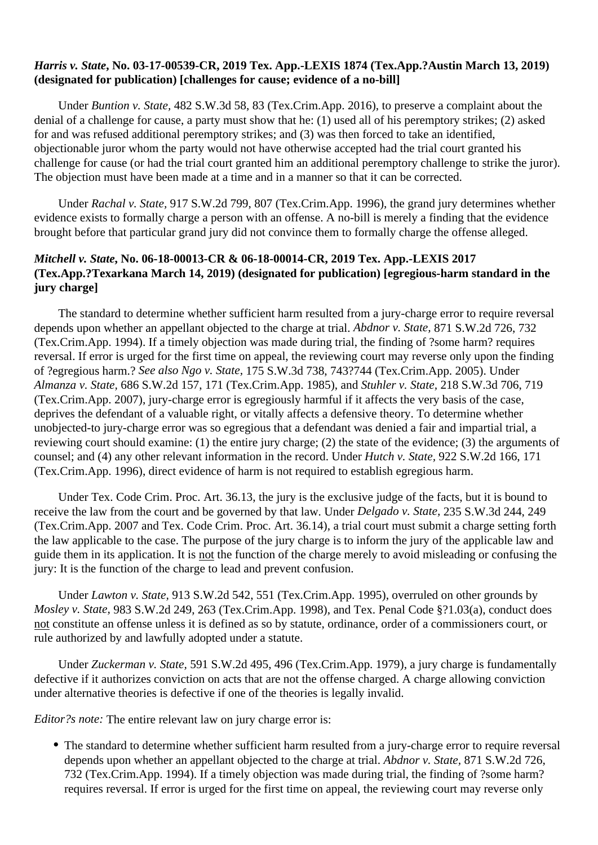#### *Harris v. State***, No. 03-17-00539-CR, 2019 Tex. App.-LEXIS 1874 (Tex.App.?Austin March 13, 2019) (designated for publication) [challenges for cause; evidence of a no-bill]**

 Under *Buntion v. State,* 482 S.W.3d 58, 83 (Tex.Crim.App. 2016), to preserve a complaint about the denial of a challenge for cause, a party must show that he: (1) used all of his peremptory strikes; (2) asked for and was refused additional peremptory strikes; and (3) was then forced to take an identified, objectionable juror whom the party would not have otherwise accepted had the trial court granted his challenge for cause (or had the trial court granted him an additional peremptory challenge to strike the juror). The objection must have been made at a time and in a manner so that it can be corrected.

 Under *Rachal v. State,* 917 S.W.2d 799, 807 (Tex.Crim.App. 1996), the grand jury determines whether evidence exists to formally charge a person with an offense. A no-bill is merely a finding that the evidence brought before that particular grand jury did not convince them to formally charge the offense alleged.

### *Mitchell v. State***, No. 06-18-00013-CR & 06-18-00014-CR, 2019 Tex. App.-LEXIS 2017 (Tex.App.?Texarkana March 14, 2019) (designated for publication) [egregious-harm standard in the jury charge]**

 The standard to determine whether sufficient harm resulted from a jury-charge error to require reversal depends upon whether an appellant objected to the charge at trial. *Abdnor v. State,* 871 S.W.2d 726, 732 (Tex.Crim.App. 1994). If a timely objection was made during trial, the finding of ?some harm? requires reversal. If error is urged for the first time on appeal, the reviewing court may reverse only upon the finding of ?egregious harm.? *See also Ngo v. State,* 175 S.W.3d 738, 743?744 (Tex.Crim.App. 2005). Under *Almanza v. State,* 686 S.W.2d 157, 171 (Tex.Crim.App. 1985), and *Stuhler v. State,* 218 S.W.3d 706, 719 (Tex.Crim.App. 2007), jury-charge error is egregiously harmful if it affects the very basis of the case, deprives the defendant of a valuable right, or vitally affects a defensive theory. To determine whether unobjected-to jury-charge error was so egregious that a defendant was denied a fair and impartial trial, a reviewing court should examine: (1) the entire jury charge; (2) the state of the evidence; (3) the arguments of counsel; and (4) any other relevant information in the record. Under *Hutch v. State,* 922 S.W.2d 166, 171 (Tex.Crim.App. 1996), direct evidence of harm is not required to establish egregious harm.

 Under Tex. Code Crim. Proc. Art. 36.13, the jury is the exclusive judge of the facts, but it is bound to receive the law from the court and be governed by that law. Under *Delgado v. State,* 235 S.W.3d 244, 249 (Tex.Crim.App. 2007 and Tex. Code Crim. Proc. Art. 36.14), a trial court must submit a charge setting forth the law applicable to the case. The purpose of the jury charge is to inform the jury of the applicable law and guide them in its application. It is not the function of the charge merely to avoid misleading or confusing the jury: It is the function of the charge to lead and prevent confusion.

 Under *Lawton v. State,* 913 S.W.2d 542, 551 (Tex.Crim.App. 1995), overruled on other grounds by *Mosley v. State,* 983 S.W.2d 249, 263 (Tex.Crim.App. 1998), and Tex. Penal Code §?1.03(a), conduct does not constitute an offense unless it is defined as so by statute, ordinance, order of a commissioners court, or rule authorized by and lawfully adopted under a statute.

 Under *Zuckerman v. State,* 591 S.W.2d 495, 496 (Tex.Crim.App. 1979), a jury charge is fundamentally defective if it authorizes conviction on acts that are not the offense charged. A charge allowing conviction under alternative theories is defective if one of the theories is legally invalid.

*Editor?s note:* The entire relevant law on jury charge error is:

The standard to determine whether sufficient harm resulted from a jury-charge error to require reversal depends upon whether an appellant objected to the charge at trial. *Abdnor v. State,* 871 S.W.2d 726, 732 (Tex.Crim.App. 1994). If a timely objection was made during trial, the finding of ?some harm? requires reversal. If error is urged for the first time on appeal, the reviewing court may reverse only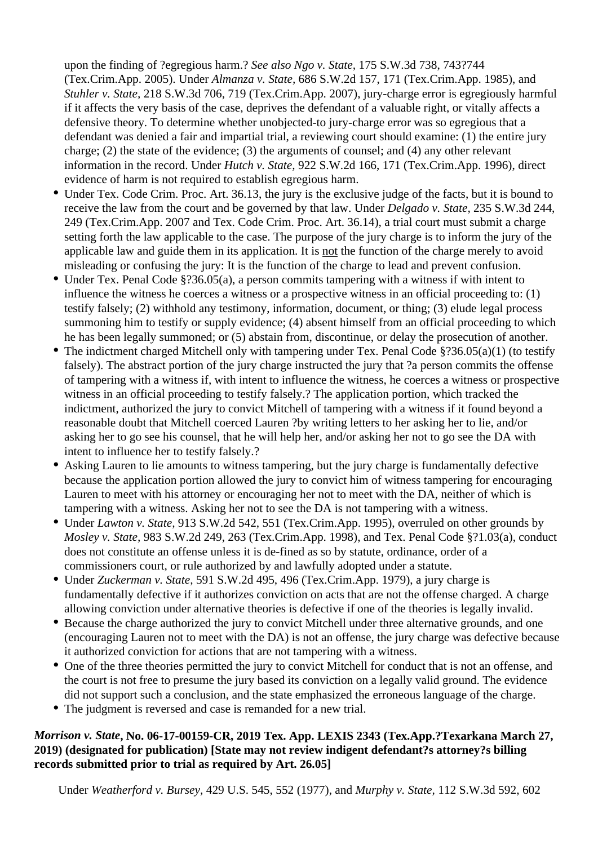upon the finding of ?egregious harm.? *See also Ngo v. State,* 175 S.W.3d 738, 743?744 (Tex.Crim.App. 2005). Under *Almanza v. State,* 686 S.W.2d 157, 171 (Tex.Crim.App. 1985), and *Stuhler v. State,* 218 S.W.3d 706, 719 (Tex.Crim.App. 2007), jury-charge error is egregiously harmful if it affects the very basis of the case, deprives the defendant of a valuable right, or vitally affects a defensive theory. To determine whether unobjected-to jury-charge error was so egregious that a defendant was denied a fair and impartial trial, a reviewing court should examine: (1) the entire jury charge; (2) the state of the evidence; (3) the arguments of counsel; and (4) any other relevant information in the record. Under *Hutch v. State,* 922 S.W.2d 166, 171 (Tex.Crim.App. 1996), direct evidence of harm is not required to establish egregious harm.

- Under Tex. Code Crim. Proc. Art. 36.13, the jury is the exclusive judge of the facts, but it is bound to receive the law from the court and be governed by that law. Under *Delgado v. State,* 235 S.W.3d 244, 249 (Tex.Crim.App. 2007 and Tex. Code Crim. Proc. Art. 36.14), a trial court must submit a charge setting forth the law applicable to the case. The purpose of the jury charge is to inform the jury of the applicable law and guide them in its application. It is not the function of the charge merely to avoid misleading or confusing the jury: It is the function of the charge to lead and prevent confusion.
- Under Tex. Penal Code §?36.05(a), a person commits tampering with a witness if with intent to influence the witness he coerces a witness or a prospective witness in an official proceeding to: (1) testify falsely; (2) withhold any testimony, information, document, or thing; (3) elude legal process summoning him to testify or supply evidence; (4) absent himself from an official proceeding to which he has been legally summoned; or (5) abstain from, discontinue, or delay the prosecution of another.
- The indictment charged Mitchell only with tampering under Tex. Penal Code §?36.05(a)(1) (to testify falsely). The abstract portion of the jury charge instructed the jury that ?a person commits the offense of tampering with a witness if, with intent to influence the witness, he coerces a witness or prospective witness in an official proceeding to testify falsely.? The application portion, which tracked the indictment, authorized the jury to convict Mitchell of tampering with a witness if it found beyond a reasonable doubt that Mitchell coerced Lauren ?by writing letters to her asking her to lie, and/or asking her to go see his counsel, that he will help her, and/or asking her not to go see the DA with intent to influence her to testify falsely.?
- Asking Lauren to lie amounts to witness tampering, but the jury charge is fundamentally defective because the application portion allowed the jury to convict him of witness tampering for encouraging Lauren to meet with his attorney or encouraging her not to meet with the DA, neither of which is tampering with a witness. Asking her not to see the DA is not tampering with a witness.
- Under *Lawton v. State,* 913 S.W.2d 542, 551 (Tex.Crim.App. 1995), overruled on other grounds by *Mosley v. State,* 983 S.W.2d 249, 263 (Tex.Crim.App. 1998), and Tex. Penal Code §?1.03(a), conduct does not constitute an offense unless it is de-fined as so by statute, ordinance, order of a commissioners court, or rule authorized by and lawfully adopted under a statute.
- Under *Zuckerman v. State,* 591 S.W.2d 495, 496 (Tex.Crim.App. 1979), a jury charge is fundamentally defective if it authorizes conviction on acts that are not the offense charged. A charge allowing conviction under alternative theories is defective if one of the theories is legally invalid.
- Because the charge authorized the jury to convict Mitchell under three alternative grounds, and one (encouraging Lauren not to meet with the DA) is not an offense, the jury charge was defective because it authorized conviction for actions that are not tampering with a witness.
- One of the three theories permitted the jury to convict Mitchell for conduct that is not an offense, and the court is not free to presume the jury based its conviction on a legally valid ground. The evidence did not support such a conclusion, and the state emphasized the erroneous language of the charge.
- The judgment is reversed and case is remanded for a new trial.

# *Morrison v. State***, No. 06-17-00159-CR, 2019 Tex. App. LEXIS 2343 (Tex.App.?Texarkana March 27, 2019) (designated for publication) [State may not review indigent defendant?s attorney?s billing records submitted prior to trial as required by Art. 26.05]**

Under *Weatherford v. Bursey,* 429 U.S. 545, 552 (1977), and *Murphy v. State,* 112 S.W.3d 592, 602